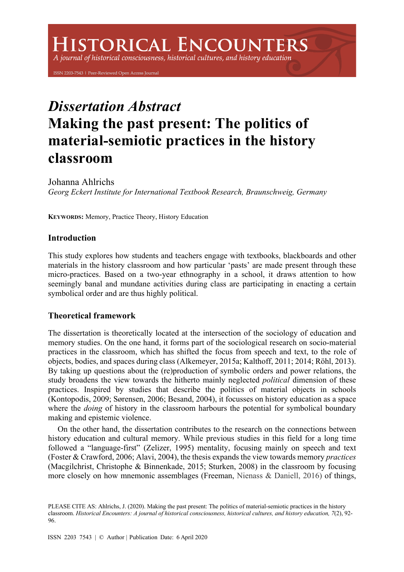# **HISTORICAL ENCOUNTERS**

A journal of historical consciousness, historical cultures, and history education

ISSN 2203-7543 | Peer-Reviewed Open Access Journal

# *Dissertation Abstract* **Making the past present: The politics of material-semiotic practices in the history classroom**

Johanna Ahlrichs *Georg Eckert Institute for International Textbook Research, Braunschweig, Germany*

**KEYWORDS:** Memory, Practice Theory, History Education

## **Introduction**

This study explores how students and teachers engage with textbooks, blackboards and other materials in the history classroom and how particular 'pasts' are made present through these micro-practices. Based on a two-year ethnography in a school, it draws attention to how seemingly banal and mundane activities during class are participating in enacting a certain symbolical order and are thus highly political.

## **Theoretical framework**

The dissertation is theoretically located at the intersection of the sociology of education and memory studies. On the one hand, it forms part of the sociological research on socio-material practices in the classroom, which has shifted the focus from speech and text, to the role of objects, bodies, and spaces during class (Alkemeyer, 2015a; Kalthoff, 2011; 2014; Röhl, 2013). By taking up questions about the (re)production of symbolic orders and power relations, the study broadens the view towards the hitherto mainly neglected *political* dimension of these practices. Inspired by studies that describe the politics of material objects in schools (Kontopodis, 2009; Sørensen, 2006; Besand, 2004), it focusses on history education as a space where the *doing* of history in the classroom harbours the potential for symbolical boundary making and epistemic violence.

On the other hand, the dissertation contributes to the research on the connections between history education and cultural memory. While previous studies in this field for a long time followed a "language-first" (Zelizer, 1995) mentality, focusing mainly on speech and text (Foster & Crawford, 2006; Alavi, 2004), the thesis expands the view towards memory *practices*  (Macgilchrist, Christophe & Binnenkade, 2015; Sturken, 2008) in the classroom by focusing more closely on how mnemonic assemblages (Freeman, Nienass & Daniell, 2016) of things,

 PLEASE CITE AS: Ahlrichs, J. (2020). Making the past present: The politics of material-semiotic practices in the history classroom. Historical Encounters: A journal of historical consciousness, historical cultures, and history education, 7(2), 92-96.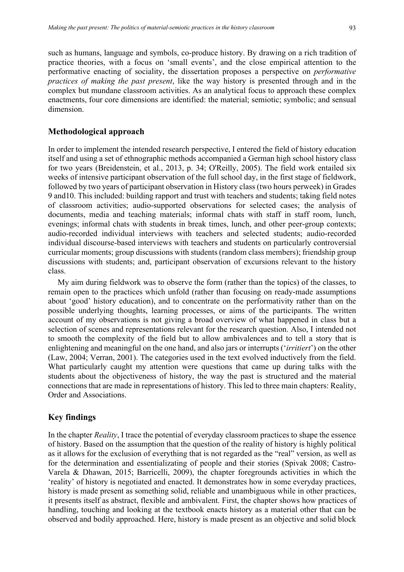such as humans, language and symbols, co-produce history. By drawing on a rich tradition of practice theories, with a focus on 'small events', and the close empirical attention to the performative enacting of sociality, the dissertation proposes a perspective on *performative practices of making the past present*, like the way history is presented through and in the complex but mundane classroom activities. As an analytical focus to approach these complex enactments, four core dimensions are identified: the material; semiotic; symbolic; and sensual dimension.

#### **Methodological approach**

In order to implement the intended research perspective, I entered the field of history education itself and using a set of ethnographic methods accompanied a German high school history class for two years (Breidenstein, et al., 2013, p. 34; O'Reilly, 2005). The field work entailed six weeks of intensive participant observation of the full school day, in the first stage of fieldwork, followed by two years of participant observation in History class (two hours perweek) in Grades 9 and10. This included: building rapport and trust with teachers and students; taking field notes of classroom activities; audio-supported observations for selected cases; the analysis of documents, media and teaching materials; informal chats with staff in staff room, lunch, evenings; informal chats with students in break times, lunch, and other peer-group contexts; audio-recorded individual interviews with teachers and selected students; audio-recorded individual discourse-based interviews with teachers and students on particularly controversial curricular moments; group discussions with students (random class members); friendship group discussions with students; and, participant observation of excursions relevant to the history class.

My aim during fieldwork was to observe the form (rather than the topics) of the classes, to remain open to the practices which unfold (rather than focusing on ready-made assumptions about 'good' history education), and to concentrate on the performativity rather than on the possible underlying thoughts, learning processes, or aims of the participants. The written account of my observations is not giving a broad overview of what happened in class but a selection of scenes and representations relevant for the research question. Also, I intended not to smooth the complexity of the field but to allow ambivalences and to tell a story that is enlightening and meaningful on the one hand, and also jars or interrupts ('*irritiert*') on the other (Law, 2004; Verran, 2001). The categories used in the text evolved inductively from the field. What particularly caught my attention were questions that came up during talks with the students about the objectiveness of history, the way the past is structured and the material connections that are made in representations of history. This led to three main chapters: Reality, Order and Associations.

#### **Key findings**

In the chapter *Reality*, I trace the potential of everyday classroom practices to shape the essence of history. Based on the assumption that the question of the reality of history is highly political as it allows for the exclusion of everything that is not regarded as the "real" version, as well as for the determination and essentializating of people and their stories (Spivak 2008; Castro-Varela & Dhawan, 2015; Barricelli, 2009), the chapter foregrounds activities in which the 'reality' of history is negotiated and enacted. It demonstrates how in some everyday practices, history is made present as something solid, reliable and unambiguous while in other practices, it presents itself as abstract, flexible and ambivalent. First, the chapter shows how practices of handling, touching and looking at the textbook enacts history as a material other that can be observed and bodily approached. Here, history is made present as an objective and solid block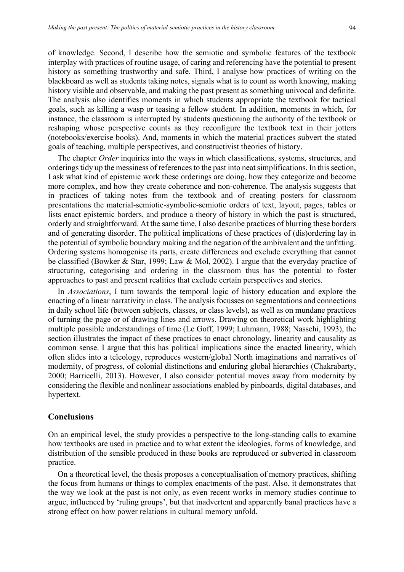of knowledge. Second, I describe how the semiotic and symbolic features of the textbook interplay with practices of routine usage, of caring and referencing have the potential to present history as something trustworthy and safe. Third, I analyse how practices of writing on the blackboard as well as students taking notes, signals what is to count as worth knowing, making history visible and observable, and making the past present as something univocal and definite. The analysis also identifies moments in which students appropriate the textbook for tactical goals, such as killing a wasp or teasing a fellow student. In addition, moments in which, for instance, the classroom is interrupted by students questioning the authority of the textbook or reshaping whose perspective counts as they reconfigure the textbook text in their jotters (notebooks/exercise books). And, moments in which the material practices subvert the stated goals of teaching, multiple perspectives, and constructivist theories of history.

The chapter *Order* inquiries into the ways in which classifications, systems, structures, and orderings tidy up the messiness of references to the past into neat simplifications. In this section, I ask what kind of epistemic work these orderings are doing, how they categorize and become more complex, and how they create coherence and non-coherence. The analysis suggests that in practices of taking notes from the textbook and of creating posters for classroom presentations the material-semiotic-symbolic-semiotic orders of text, layout, pages, tables or lists enact epistemic borders, and produce a theory of history in which the past is structured, orderly and straightforward. At the same time, I also describe practices of blurring these borders and of generating disorder. The political implications of these practices of (dis)ordering lay in the potential of symbolic boundary making and the negation of the ambivalent and the unfitting. Ordering systems homogenise its parts, create differences and exclude everything that cannot be classified (Bowker & Star, 1999; Law & Mol, 2002). I argue that the everyday practice of structuring, categorising and ordering in the classroom thus has the potential to foster approaches to past and present realities that exclude certain perspectives and stories.

In *Associations*, I turn towards the temporal logic of history education and explore the enacting of a linear narrativity in class. The analysis focusses on segmentations and connections in daily school life (between subjects, classes, or class levels), as well as on mundane practices of turning the page or of drawing lines and arrows. Drawing on theoretical work highlighting multiple possible understandings of time (Le Goff, 1999; Luhmann, 1988; Nassehi, 1993), the section illustrates the impact of these practices to enact chronology, linearity and causality as common sense. I argue that this has political implications since the enacted linearity, which often slides into a teleology, reproduces western/global North imaginations and narratives of modernity, of progress, of colonial distinctions and enduring global hierarchies (Chakrabarty, 2000; Barricelli, 2013). However, I also consider potential moves away from modernity by considering the flexible and nonlinear associations enabled by pinboards, digital databases, and hypertext.

#### **Conclusions**

On an empirical level, the study provides a perspective to the long-standing calls to examine how textbooks are used in practice and to what extent the ideologies, forms of knowledge, and distribution of the sensible produced in these books are reproduced or subverted in classroom practice.

On a theoretical level, the thesis proposes a conceptualisation of memory practices, shifting the focus from humans or things to complex enactments of the past. Also, it demonstrates that the way we look at the past is not only, as even recent works in memory studies continue to argue, influenced by 'ruling groups', but that inadvertent and apparently banal practices have a strong effect on how power relations in cultural memory unfold.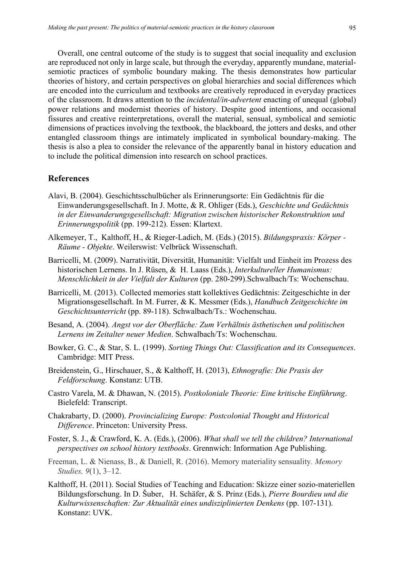Overall, one central outcome of the study is to suggest that social inequality and exclusion are reproduced not only in large scale, but through the everyday, apparently mundane, materialsemiotic practices of symbolic boundary making. The thesis demonstrates how particular theories of history, and certain perspectives on global hierarchies and social differences which are encoded into the curriculum and textbooks are creatively reproduced in everyday practices of the classroom. It draws attention to the *incidental/in-advertent* enacting of unequal (global) power relations and modernist theories of history. Despite good intentions, and occasional fissures and creative reinterpretations, overall the material, sensual, symbolical and semiotic dimensions of practices involving the textbook, the blackboard, the jotters and desks, and other entangled classroom things are intimately implicated in symbolical boundary-making. The thesis is also a plea to consider the relevance of the apparently banal in history education and to include the political dimension into research on school practices.

#### **References**

- Alavi, B. (2004). Geschichtsschulbücher als Erinnerungsorte: Ein Gedächtnis für die Einwanderungsgesellschaft. In J. Motte, & R. Ohliger (Eds.), *Geschichte und Gedächtnis in der Einwanderungsgesellschaft: Migration zwischen historischer Rekonstruktion und Erinnerungspolitik* (pp. 199-212). Essen: Klartext.
- Alkemeyer, T., Kalthoff, H., & Rieger-Ladich, M. (Eds.) (2015). *Bildungspraxis: Körper - Räume - Objekte*. Weilerswist: Velbrück Wissenschaft.
- Barricelli, M. (2009). Narrativität, Diversität, Humanität: Vielfalt und Einheit im Prozess des historischen Lernens. In J. Rüsen, & H. Laass (Eds.), *Interkultureller Humanismus: Menschlichkeit in der Vielfalt der Kulturen* (pp. 280-299).Schwalbach/Ts: Wochenschau.
- Barricelli, M. (2013). Collected memories statt kollektives Gedächtnis: Zeitgeschichte in der Migrationsgesellschaft. In M. Furrer, & K. Messmer (Eds.), *Handbuch Zeitgeschichte im Geschichtsunterricht* (pp. 89-118). Schwalbach/Ts.: Wochenschau.
- Besand, A. (2004). *Angst vor der Oberfläche: Zum Verhältnis ästhetischen und politischen Lernens im Zeitalter neuer Medien*. Schwalbach/Ts: Wochenschau.
- Bowker, G. C., & Star, S. L. (1999). *Sorting Things Out: Classification and its Consequences*. Cambridge: MIT Press.
- Breidenstein, G., Hirschauer, S., & Kalthoff, H. (2013), *Ethnografie: Die Praxis der Feldforschung*. Konstanz: UTB.
- Castro Varela, M. & Dhawan, N. (2015). *Postkoloniale Theorie: Eine kritische Einführung*. Bielefeld: Transcript.
- Chakrabarty, D. (2000). *Provincializing Europe: Postcolonial Thought and Historical Difference*. Princeton: University Press.
- Foster, S. J., & Crawford, K. A. (Eds.), (2006). *What shall we tell the children? International perspectives on school history textbooks*. Grennwich: Information Age Publishing.
- Freeman, L. & Nienass, B., & Daniell, R. (2016). Memory materiality sensuality*. Memory Studies, 9*(1), 3–12.
- Kalthoff, H. (2011). Social Studies of Teaching and Education: Skizze einer sozio-materiellen Bildungsforschung. In D. Šuber, H. Schäfer, & S. Prinz (Eds.), *Pierre Bourdieu und die Kulturwissenschaften: Zur Aktualität eines undisziplinierten Denkens* (pp. 107-131). Konstanz: UVK.